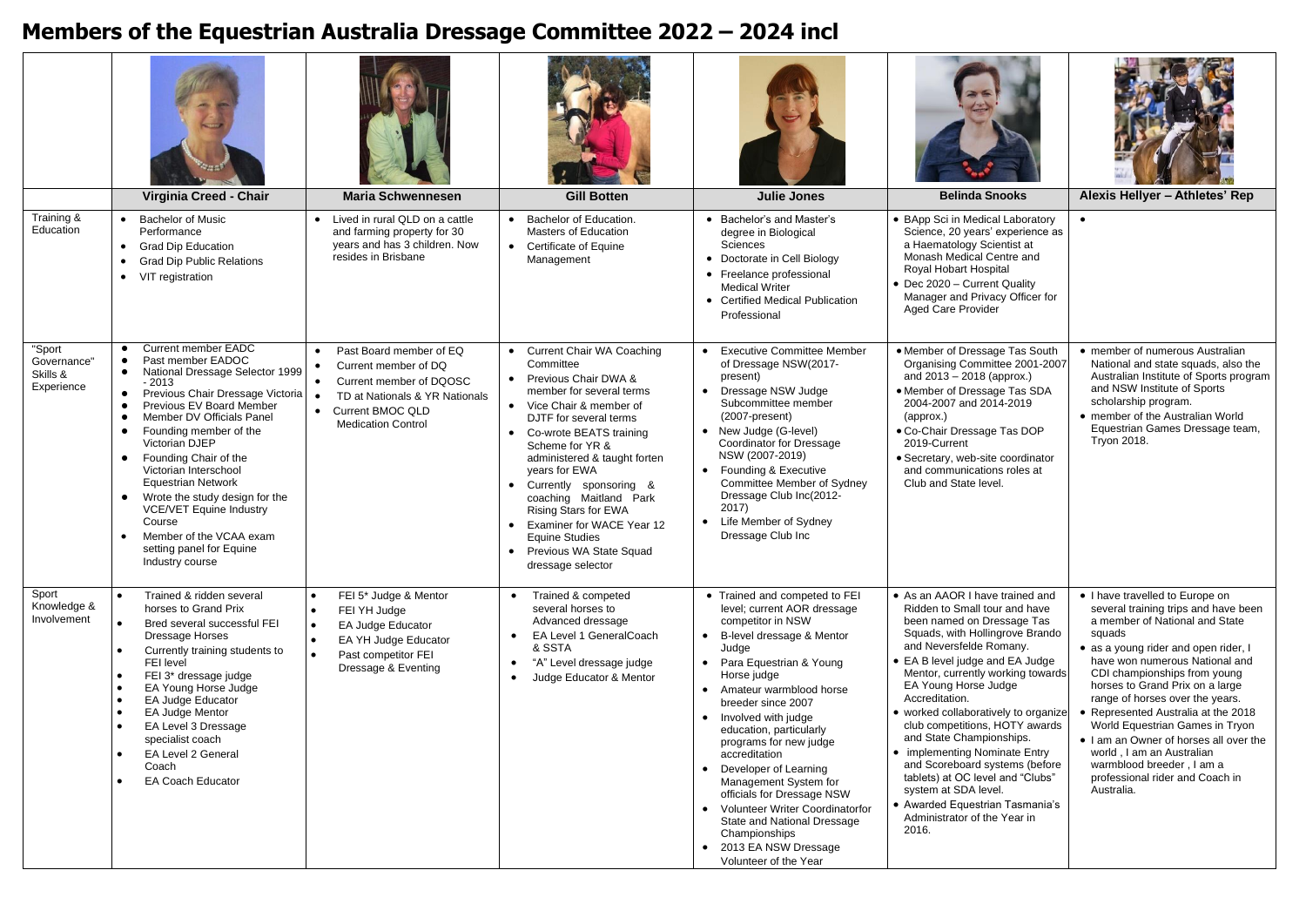## **Members of the Equestrian Australia Dressage Committee 2022 – 2024 incl**

|                                                 | Virginia Creed - Chair                                                                                                                                                                                                                                                                                                                                                                                                                                                                                                                                           | <b>Maria Schwennesen</b>                                                                                                                                                                                            | <b>Gill Botten</b>                                                                                                                                                                                                                                                                                                                                                                                                                                | <b>Julie Jones</b>                                                                                                                                                                                                                                                                                                                                                                                                                                                                                                                                | <b>Belinda Snooks</b>                                                                                                                                                                                                                                                                                                                                                                                                                                                                                                                                                                           | Alexis Hellyer - Athletes' Rep                                                                                                                                                                                                                                                                                                                                                                                                                                                                                                     |
|-------------------------------------------------|------------------------------------------------------------------------------------------------------------------------------------------------------------------------------------------------------------------------------------------------------------------------------------------------------------------------------------------------------------------------------------------------------------------------------------------------------------------------------------------------------------------------------------------------------------------|---------------------------------------------------------------------------------------------------------------------------------------------------------------------------------------------------------------------|---------------------------------------------------------------------------------------------------------------------------------------------------------------------------------------------------------------------------------------------------------------------------------------------------------------------------------------------------------------------------------------------------------------------------------------------------|---------------------------------------------------------------------------------------------------------------------------------------------------------------------------------------------------------------------------------------------------------------------------------------------------------------------------------------------------------------------------------------------------------------------------------------------------------------------------------------------------------------------------------------------------|-------------------------------------------------------------------------------------------------------------------------------------------------------------------------------------------------------------------------------------------------------------------------------------------------------------------------------------------------------------------------------------------------------------------------------------------------------------------------------------------------------------------------------------------------------------------------------------------------|------------------------------------------------------------------------------------------------------------------------------------------------------------------------------------------------------------------------------------------------------------------------------------------------------------------------------------------------------------------------------------------------------------------------------------------------------------------------------------------------------------------------------------|
| Training &<br>Education                         | <b>Bachelor of Music</b><br>$\bullet$<br>Performance<br><b>Grad Dip Education</b><br>$\bullet$<br><b>Grad Dip Public Relations</b><br>VIT registration<br>$\bullet$                                                                                                                                                                                                                                                                                                                                                                                              | Lived in rural QLD on a cattle<br>and farming property for 30<br>years and has 3 children. Now<br>resides in Brisbane                                                                                               | Bachelor of Education.<br>$\bullet$<br><b>Masters of Education</b><br>• Certificate of Equine<br>Management                                                                                                                                                                                                                                                                                                                                       | • Bachelor's and Master's<br>degree in Biological<br>Sciences<br>• Doctorate in Cell Biology<br>• Freelance professional<br><b>Medical Writer</b><br>• Certified Medical Publication<br>Professional                                                                                                                                                                                                                                                                                                                                              | • BApp Sci in Medical Laboratory<br>Science, 20 years' experience as<br>a Haematology Scientist at<br>Monash Medical Centre and<br>Royal Hobart Hospital<br>• Dec 2020 - Current Quality<br>Manager and Privacy Officer for<br><b>Aged Care Provider</b>                                                                                                                                                                                                                                                                                                                                        | $\bullet$                                                                                                                                                                                                                                                                                                                                                                                                                                                                                                                          |
| "Sport<br>Governance"<br>Skills &<br>Experience | Current member EADC<br>$\bullet$<br>Past member EADOC<br>National Dressage Selector 1999<br>$\bullet$<br>- 2013<br>Previous Chair Dressage Victoria<br>$\bullet$<br>Previous EV Board Member<br>Member DV Officials Panel<br>$\bullet$<br>Founding member of the<br>$\bullet$<br>Victorian DJEP<br>Founding Chair of the<br>$\bullet$<br>Victorian Interschool<br><b>Equestrian Network</b><br>Wrote the study design for the<br>$\bullet$<br><b>VCE/VET Equine Industry</b><br>Course<br>Member of the VCAA exam<br>setting panel for Equine<br>Industry course | Past Board member of EQ<br>$\bullet$<br>Current member of DQ<br>$\bullet$<br>Current member of DQOSC<br>$\bullet$<br>$\bullet$<br>TD at Nationals & YR Nationals<br>• Current BMOC QLD<br><b>Medication Control</b> | Current Chair WA Coaching<br>$\bullet$<br>Committee<br>• Previous Chair DWA &<br>member for several terms<br>• Vice Chair & member of<br>DJTF for several terms<br>• Co-wrote BEATS training<br>Scheme for YR &<br>administered & taught forten<br>years for EWA<br>• Currently sponsoring &<br>coaching Maitland Park<br>Rising Stars for EWA<br>• Examiner for WACE Year 12<br>Equine Studies<br>• Previous WA State Squad<br>dressage selector | <b>Executive Committee Member</b><br>$\bullet$<br>of Dressage NSW(2017-<br>present)<br>• Dressage NSW Judge<br>Subcommittee member<br>(2007-present)<br>• New Judge (G-level)<br>Coordinator for Dressage<br>NSW (2007-2019)<br>• Founding & Executive<br>Committee Member of Sydney<br>Dressage Club Inc(2012-<br>2017)<br>• Life Member of Sydney<br>Dressage Club Inc                                                                                                                                                                          | • Member of Dressage Tas South<br>Organising Committee 2001-2007<br>and 2013 - 2018 (approx.)<br>• Member of Dressage Tas SDA<br>2004-2007 and 2014-2019<br>(approx.)<br>• Co-Chair Dressage Tas DOP<br>2019-Current<br>· Secretary, web-site coordinator<br>and communications roles at<br>Club and State level.                                                                                                                                                                                                                                                                               | • member of numerous Australian<br>National and state squads, also the<br>Australian Institute of Sports program<br>and NSW Institute of Sports<br>scholarship program.<br>• member of the Australian World<br>Equestrian Games Dressage team,<br>Tryon 2018.                                                                                                                                                                                                                                                                      |
| Sport<br>Knowledge &<br>Involvement             | Trained & ridden several<br>horses to Grand Prix<br>Bred several successful FEI<br>Dressage Horses<br>Currently training students to<br>FEI level<br>FEI 3* dressage judge<br>EA Young Horse Judge<br><b>EA Judge Educator</b><br><b>EA Judge Mentor</b><br>EA Level 3 Dressage<br>specialist coach<br>EA Level 2 General<br>Coach<br><b>EA Coach Educator</b>                                                                                                                                                                                                   | FEI 5* Judge & Mentor<br>$\bullet$<br>FEI YH Judge<br>$\bullet$<br>EA Judge Educator<br>EA YH Judge Educator<br>$\bullet$<br>Past competitor FEI<br>Dressage & Eventing                                             | Trained & competed<br>$\bullet$<br>several horses to<br>Advanced dressage<br>EA Level 1 GeneralCoach<br>$\bullet$<br>& SSTA<br>"A" Level dressage judge<br>$\bullet$<br>Judge Educator & Mentor                                                                                                                                                                                                                                                   | • Trained and competed to FEI<br>level; current AOR dressage<br>competitor in NSW<br>• B-level dressage & Mentor<br>Judge<br>• Para Equestrian & Young<br>Horse judge<br>• Amateur warmblood horse<br>breeder since 2007<br>• Involved with judge<br>education, particularly<br>programs for new judge<br>accreditation<br>• Developer of Learning<br>Management System for<br>officials for Dressage NSW<br>• Volunteer Writer Coordinatorfor<br>State and National Dressage<br>Championships<br>• 2013 EA NSW Dressage<br>Volunteer of the Year | • As an AAOR I have trained and<br>Ridden to Small tour and have<br>been named on Dressage Tas<br>Squads, with Hollingrove Brando<br>and Neversfelde Romany.<br>• EA B level judge and EA Judge<br>Mentor, currently working towards<br>EA Young Horse Judge<br>Accreditation.<br>• worked collaboratively to organize<br>club competitions, HOTY awards<br>and State Championships.<br>• implementing Nominate Entry<br>and Scoreboard systems (before<br>tablets) at OC level and "Clubs"<br>system at SDA level.<br>• Awarded Equestrian Tasmania's<br>Administrator of the Year in<br>2016. | • I have travelled to Europe on<br>several training trips and have been<br>a member of National and State<br>squads<br>• as a young rider and open rider, I<br>have won numerous National and<br>CDI championships from young<br>horses to Grand Prix on a large<br>range of horses over the years.<br>• Represented Australia at the 2018<br>World Equestrian Games in Tryon<br>. I am an Owner of horses all over the<br>world, I am an Australian<br>warmblood breeder, I am a<br>professional rider and Coach in<br>Australia. |